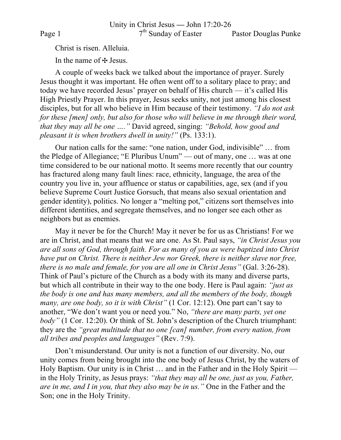Unity in Christ Jesus **—** John 17:20-26 Page 1 7<sup>th</sup> Sunday of Easter Pastor Douglas Punke

Christ is risen. Alleluia.

In the name of  $\pm$  Jesus.

A couple of weeks back we talked about the importance of prayer. Surely Jesus thought it was important. He often went off to a solitary place to pray; and today we have recorded Jesus' prayer on behalf of His church — it's called His High Priestly Prayer. In this prayer, Jesus seeks unity, not just among his closest disciples, but for all who believe in Him because of their testimony. *"I do not ask for these [men] only, but also for those who will believe in me through their word, that they may all be one …."* David agreed, singing: *"Behold, how good and pleasant it is when brothers dwell in unity!"* (Ps. 133:1).

Our nation calls for the same: "one nation, under God, indivisible" … from the Pledge of Allegiance; "E Pluribus Unum" — out of many, one … was at one time considered to be our national motto. It seems more recently that our country has fractured along many fault lines: race, ethnicity, language, the area of the country you live in, your affluence or status or capabilities, age, sex (and if you believe Supreme Court Justice Gorsuch, that means also sexual orientation and gender identity), politics. No longer a "melting pot," citizens sort themselves into different identities, and segregate themselves, and no longer see each other as neighbors but as enemies.

May it never be for the Church! May it never be for us as Christians! For we are in Christ, and that means that we are one. As St. Paul says, *"in Christ Jesus you are all sons of God, through faith. For as many of you as were baptized into Christ have put on Christ. There is neither Jew nor Greek, there is neither slave nor free, there is no male and female, for you are all one in Christ Jesus"* (Gal. 3:26-28). Think of Paul's picture of the Church as a body with its many and diverse parts, but which all contribute in their way to the one body. Here is Paul again: *"just as the body is one and has many members, and all the members of the body, though many, are one body, so it is with Christ"* (1 Cor. 12:12). One part can't say to another, "We don't want you or need you." No, *"there are many parts, yet one body"* (1 Cor. 12:20). Or think of St. John's description of the Church triumphant: they are the *"great multitude that no one [can] number, from every nation, from all tribes and peoples and languages"* (Rev. 7:9).

Don't misunderstand. Our unity is not a function of our diversity. No, our unity comes from being brought into the one body of Jesus Christ, by the waters of Holy Baptism. Our unity is in Christ … and in the Father and in the Holy Spirit in the Holy Trinity, as Jesus prays: *"that they may all be one, just as you, Father, are in me, and I in you, that they also may be in us."* One in the Father and the Son; one in the Holy Trinity.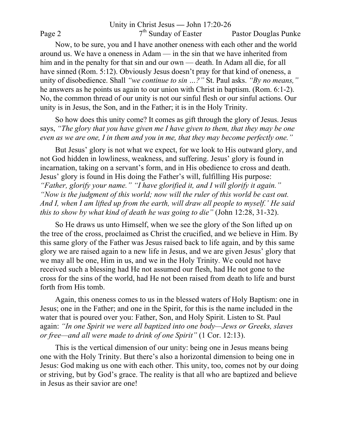Unity in Christ Jesus **—** John 17:20-26 Page 2 7<sup>th</sup> Sunday of Easter Pastor Douglas Punke Now, to be sure, you and I have another oneness with each other and the world around us. We have a oneness in Adam — in the sin that we have inherited from him and in the penalty for that sin and our own — death. In Adam all die, for all have sinned (Rom. 5:12). Obviously Jesus doesn't pray for that kind of oneness, a unity of disobedience. Shall *"we continue to sin …?"* St. Paul asks. *"By no means,"* he answers as he points us again to our union with Christ in baptism. (Rom. 6:1-2). No, the common thread of our unity is not our sinful flesh or our sinful actions. Our unity is in Jesus, the Son, and in the Father; it is in the Holy Trinity.

So how does this unity come? It comes as gift through the glory of Jesus. Jesus says, *"The glory that you have given me I have given to them, that they may be one even as we are one, I in them and you in me, that they may become perfectly one."*

But Jesus' glory is not what we expect, for we look to His outward glory, and not God hidden in lowliness, weakness, and suffering. Jesus' glory is found in incarnation, taking on a servant's form, and in His obedience to cross and death. Jesus' glory is found in His doing the Father's will, fulfilling His purpose: *"Father, glorify your name." "I have glorified it, and I will glorify it again." "Now is the judgment of this world; now will the ruler of this world be cast out. And I, when I am lifted up from the earth, will draw all people to myself.' He said this to show by what kind of death he was going to die"* (John 12:28, 31-32).

So He draws us unto Himself, when we see the glory of the Son lifted up on the tree of the cross, proclaimed as Christ the crucified, and we believe in Him. By this same glory of the Father was Jesus raised back to life again, and by this same glory we are raised again to a new life in Jesus, and we are given Jesus' glory that we may all be one, Him in us, and we in the Holy Trinity. We could not have received such a blessing had He not assumed our flesh, had He not gone to the cross for the sins of the world, had He not been raised from death to life and burst forth from His tomb.

Again, this oneness comes to us in the blessed waters of Holy Baptism: one in Jesus; one in the Father; and one in the Spirit, for this is the name included in the water that is poured over you: Father, Son, and Holy Spirit. Listen to St. Paul again: *"In one Spirit we were all baptized into one body—Jews or Greeks, slaves or free—and all were made to drink of one Spirit"* (1 Cor. 12:13).

This is the vertical dimension of our unity: being one in Jesus means being one with the Holy Trinity. But there's also a horizontal dimension to being one in Jesus: God making us one with each other. This unity, too, comes not by our doing or striving, but by God's grace. The reality is that all who are baptized and believe in Jesus as their savior are one!